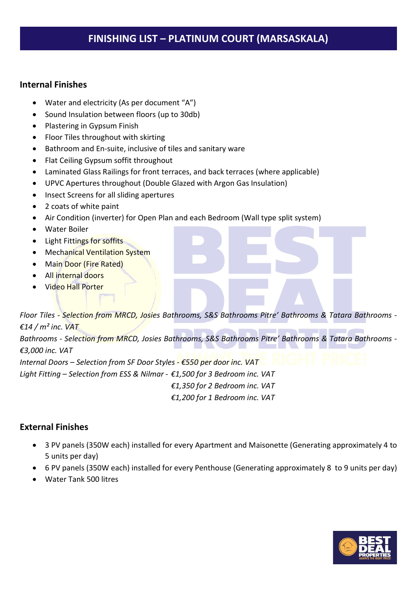## FINISHING LIST – PLATINUM COURT (MARSASKALA)

#### Internal Finishes

- Water and electricity (As per document "A")
- Sound Insulation between floors (up to 30db)
- Plastering in Gypsum Finish
- Floor Tiles throughout with skirting
- Bathroom and En-suite, inclusive of tiles and sanitary ware
- Flat Ceiling Gypsum soffit throughout
- Laminated Glass Railings for front terraces, and back terraces (where applicable)
- UPVC Apertures throughout (Double Glazed with Argon Gas Insulation)
- Insect Screens for all sliding apertures
- 2 coats of white paint
- Air Condition (inverter) for Open Plan and each Bedroom (Wall type split system)
- Water Boiler
- Light Fittings for soffits
- Mechanical Ventilation System
- Main Door (Fire Rated)
- All internal doors
- Video Hall Porter

Floor Tiles - Selection from MRCD, Josies Bathrooms, S&S Bathrooms Pitre' Bathrooms & Tatara Bathrooms -  $£14/m<sup>2</sup>$  inc. VAT Bathrooms - Selection from MRCD, Josies Bathrooms, S&S Bathrooms Pitre' Bathrooms & Tatara Bathrooms -€3,000 inc. VAT

Internal Doors – Selection from SF Door Styles -  $\epsilon$ 550 per door inc. VAT

Light Fitting – Selection from ESS & Nilmar - €1,500 for 3 Bedroom inc. VAT

€1,350 for 2 Bedroom inc. VAT

€1,200 for 1 Bedroom inc. VAT

### External Finishes

- 3 PV panels (350W each) installed for every Apartment and Maisonette (Generating approximately 4 to 5 units per day)
- 6 PV panels (350W each) installed for every Penthouse (Generating approximately 8 to 9 units per day)
- Water Tank 500 litres

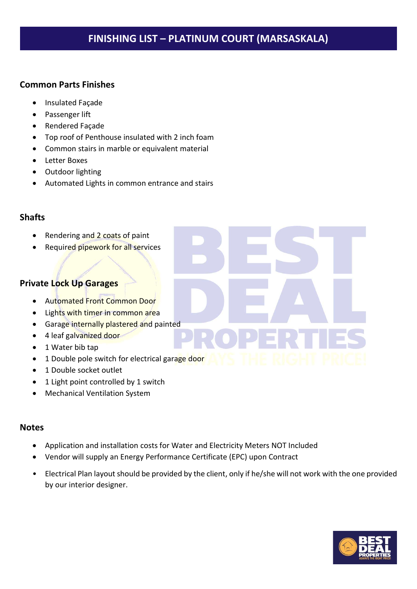## FINISHING LIST – PLATINUM COURT (MARSASKALA)

#### Common Parts Finishes

- **•** Insulated Façade
- Passenger lift
- Rendered Façade
- Top roof of Penthouse insulated with 2 inch foam
- Common stairs in marble or equivalent material
- Letter Boxes
- Outdoor lighting
- Automated Lights in common entrance and stairs

### Shafts

- Rendering and 2 coats of paint
- Required pipework for all services

### Private Lock Up Garages

- Automated Front Common Door
- Lights with timer in common area
- **•** Garage internally plastered and painted
- 4 leaf galvanized door
- 1 Water bib tap
- 1 Double pole switch for electrical garage door
- 1 Double socket outlet
- 1 Light point controlled by 1 switch
- Mechanical Ventilation System

#### **Notes**

- Application and installation costs for Water and Electricity Meters NOT Included
- Vendor will supply an Energy Performance Certificate (EPC) upon Contract
- Electrical Plan layout should be provided by the client, only if he/she will not work with the one provided by our interior designer.